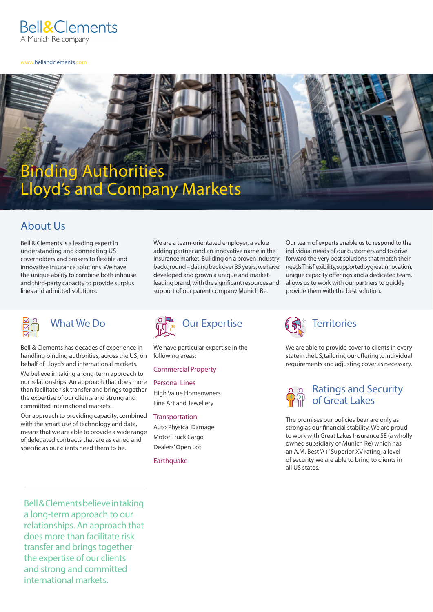

www.bellandclements.com

# Binding Authorities Lloyd's and Company Markets

# About Us

Bell & Clements is a leading expert in understanding and connecting US coverholders and brokers to flexible and innovative insurance solutions. We have the unique ability to combine both inhouse and third-party capacity to provide surplus lines and admitted solutions.



# What We Do

Bell & Clements has decades of experience in handling binding authorities, across the US, on behalf of Lloyd's and international markets.

We believe in taking a long-term approach to our relationships. An approach that does more than facilitate risk transfer and brings together the expertise of our clients and strong and committed international markets.

Our approach to providing capacity, combined with the smart use of technology and data, means that we are able to provide a wide range of delegated contracts that are as varied and specific as our clients need them to be.

We are a team-orientated employer, a value adding partner and an innovative name in the insurance market. Building on a proven industry background – dating back over 35 years, we have developed and grown a unique and marketleading brand, with the significant resources and support of our parent company Munich Re.



We have particular expertise in the following areas:

# Commercial Property

Personal Lines High Value Homeowners Fine Art and Jewellery

**Transportation** Auto Physical Damage Motor Truck Cargo

Dealers' Open Lot

**Earthquake** 

Our team of experts enable us to respond to the individual needs of our customers and to drive forward the very best solutions that match their needs. This flexibility, supported by great innovation, unique capacity offerings and a dedicated team, allows us to work with our partners to quickly provide them with the best solution.



We are able to provide cover to clients in every state in the US, tailoring our offering to individual requirements and adjusting cover as necessary.



The promises our policies bear are only as strong as our financial stability. We are proud to work with Great Lakes Insurance SE (a wholly owned subsidiary of Munich Re) which has an A.M. Best 'A+' Superior XV rating, a level of security we are able to bring to clients in all US states.

Bell & Clements believe in taking a long-term approach to our relationships. An approach that does more than facilitate risk transfer and brings together the expertise of our clients and strong and committed international markets.